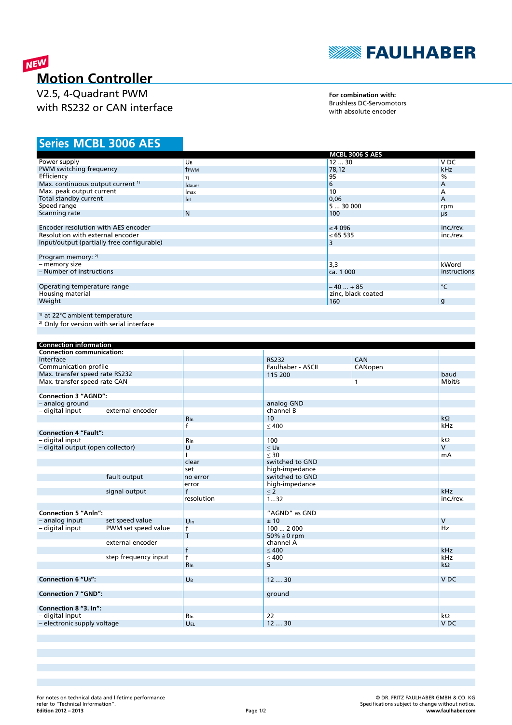

# NEW **Motion Controller**

V2.5, 4-Quadrant PWM with RS232 or CAN interface

**For combination with:** Brushless DC-Servomotors with absolute encoder

# **MCBL 3006 AES Series**

|                                              |                | <b>MCBL 3006 S AES</b> |              |
|----------------------------------------------|----------------|------------------------|--------------|
| Power supply                                 | UB             | 1230                   | V DC         |
| PWM switching frequency                      | frwm           | 78,12                  | kHz          |
| Efficiency                                   | η              | 95                     | $\%$         |
| Max. continuous output current <sup>1)</sup> | <b>I</b> dauer | 6                      | A            |
| Max. peak output current                     | Imax           | 10                     | A            |
| Total standby current                        | lel            | 0,06                   | A            |
| Speed range                                  |                | 530000                 | rpm          |
| Scanning rate                                | N              | 100                    | μs           |
|                                              |                |                        |              |
| Encoder resolution with AES encoder          |                | $\leq 4096$            | inc./rev.    |
| Resolution with external encoder             |                | ≤ 65 535               | inc./rev.    |
| Input/output (partially free configurable)   |                | 3                      |              |
|                                              |                |                        |              |
| Program memory: 2)                           |                |                        |              |
| - memory size                                |                | 3,3                    | kWord        |
| - Number of instructions                     |                | ca. 1 000              | instructions |
|                                              |                |                        |              |
| Operating temperature range                  |                | $-40+85$               | $\circ$ C    |
| Housing material                             |                | zinc, black coated     |              |
| Weight                                       |                | 160                    | g            |
|                                              |                |                        |              |
| <sup>1)</sup> at 22°C ambient temperature    |                |                        |              |

2) Only for version with serial interface

| <b>Connection information</b>     |                      |                 |                    |              |                 |
|-----------------------------------|----------------------|-----------------|--------------------|--------------|-----------------|
| <b>Connection communication:</b>  |                      |                 |                    |              |                 |
| Interface                         |                      |                 | <b>RS232</b>       | CAN          |                 |
| Communication profile             |                      |                 | Faulhaber - ASCII  | CANopen      |                 |
| Max. transfer speed rate RS232    |                      |                 | 115 200            |              | baud            |
| Max. transfer speed rate CAN      |                      |                 |                    | $\mathbf{1}$ | Mbit/s          |
|                                   |                      |                 |                    |              |                 |
| <b>Connection 3 "AGND":</b>       |                      |                 |                    |              |                 |
| - analog ground                   |                      |                 | analog GND         |              |                 |
| - digital input                   | external encoder     |                 | channel B          |              |                 |
|                                   |                      | Rin             | 10                 |              | $k\Omega$       |
|                                   |                      | $\mathsf{f}$    | < 400              |              | kHz             |
| <b>Connection 4 "Fault":</b>      |                      |                 |                    |              |                 |
| - digital input                   |                      | Rin             | 100                |              | $k\Omega$       |
| - digital output (open collector) |                      | $\cup$          | $<$ U <sub>B</sub> |              | $\overline{V}$  |
|                                   |                      |                 | $<$ 30             |              | mA              |
|                                   |                      | clear           | switched to GND    |              |                 |
|                                   |                      | set             | high-impedance     |              |                 |
|                                   | fault output         | no error        | switched to GND    |              |                 |
|                                   |                      | error           | high-impedance     |              |                 |
|                                   | signal output        | $\mathsf{f}$    | $\leq 2$           |              | kHz             |
|                                   |                      | resolution      | 132                |              | inc./rev.       |
|                                   |                      |                 |                    |              |                 |
| <b>Connection 5 "Anln":</b>       |                      |                 | "AGND" as GND      |              |                 |
| - analog input                    | set speed value      | $U_{\text{In}}$ | ±10                |              | $\vee$          |
| - digital input                   | PWM set speed value  | f               | 1002000            |              | <b>Hz</b>       |
|                                   |                      | T               | 50% ≙0 rpm         |              |                 |
|                                   | external encoder     |                 | channel A          |              |                 |
|                                   |                      | $\mathsf f$     | < 400              |              | kHz             |
|                                   | step frequency input | $\overline{f}$  | $\leq 400$         |              | kHz             |
|                                   |                      | Rin             | 5                  |              | $k\Omega$       |
|                                   |                      |                 |                    |              |                 |
| <b>Connection 6 "UB":</b>         |                      | UB              | 1230               |              | V <sub>DC</sub> |
|                                   |                      |                 |                    |              |                 |
| <b>Connection 7 "GND":</b>        |                      |                 | ground             |              |                 |
|                                   |                      |                 |                    |              |                 |
| Connection 8 "3. In":             |                      |                 |                    |              |                 |
| - digital input                   |                      | Rin             | 22                 |              | $k\Omega$       |
| - electronic supply voltage       |                      | <b>UEL</b>      | 1230               |              | V <sub>DC</sub> |
|                                   |                      |                 |                    |              |                 |